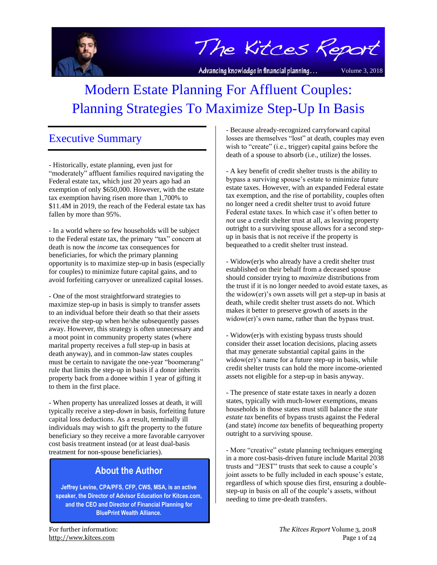

The Kitces Report

Advancing knowledge in financial planning...

#### Volume 3, 2018

# Modern Estate Planning For Affluent Couples: Planning Strategies To Maximize Step-Up In Basis

# Executive Summary

- Historically, estate planning, even just for "moderately" affluent families required navigating the Federal estate tax, which just 20 years ago had an exemption of only \$650,000. However, with the estate tax exemption having risen more than 1,700% to \$11.4M in 2019, the reach of the Federal estate tax has fallen by more than 95%.

- In a world where so few households will be subject to the Federal estate tax, the primary "tax" concern at death is now the *income* tax consequences for beneficiaries, for which the primary planning opportunity is to maximize step-up in basis (especially for couples) to minimize future capital gains, and to avoid forfeiting carryover or unrealized capital losses.

- One of the most straightforward strategies to maximize step-up in basis is simply to transfer assets to an individual before their death so that their assets receive the step-up when he/she subsequently passes away. However, this strategy is often unnecessary and a moot point in community property states (where marital property receives a full step-up in basis at death anyway), and in common-law states couples must be certain to navigate the one-year "boomerang" rule that limits the step-up in basis if a donor inherits property back from a donee within 1 year of gifting it to them in the first place.

- When property has unrealized losses at death, it will typically receive a step-*down* in basis, forfeiting future capital loss deductions. As a result, terminally ill individuals may wish to gift the property to the future beneficiary so they receive a more favorable carryover cost basis treatment instead (or at least dual-basis treatment for non-spouse beneficiaries).

### **About the Author**

**Jeffrey Levine, CPA/PFS, CFP, CWS, MSA, is an active speaker, the Director of Advisor Education for Kitces.com, and the CEO and Director of Financial Planning for BluePrint Wealth Alliance.**

- Because already-recognized carryforward capital losses are themselves "lost" at death, couples may even wish to "create" (i.e., trigger) capital gains before the death of a spouse to absorb (i.e., utilize) the losses.

- A key benefit of credit shelter trusts is the ability to bypass a surviving spouse's estate to minimize future estate taxes. However, with an expanded Federal estate tax exemption, and the rise of portability, couples often no longer need a credit shelter trust to avoid future Federal estate taxes. In which case it's often better to *not* use a credit shelter trust at all, as leaving property outright to a surviving spouse allows for a second stepup in basis that is not receive if the property is bequeathed to a credit shelter trust instead.

- Widow(er)s who already have a credit shelter trust established on their behalf from a deceased spouse should consider trying to *maximize* distributions from the trust if it is no longer needed to avoid estate taxes, as the widow(er)'s own assets will get a step-up in basis at death, while credit shelter trust assets do not. Which makes it better to preserve growth of assets in the widow(er)'s own name, rather than the bypass trust.

- Widow(er)s with existing bypass trusts should consider their asset location decisions, placing assets that may generate substantial capital gains in the widow(er)'s name for a future step-up in basis, while credit shelter trusts can hold the more income-oriented assets not eligible for a step-up in basis anyway.

- The presence of state estate taxes in nearly a dozen states, typically with much-lower exemptions, means households in those states must still balance the *state estate tax* benefits of bypass trusts against the Federal (and state) *income tax* benefits of bequeathing property outright to a surviving spouse.

- More "creative" estate planning techniques emerging in a more cost-basis-driven future include Marital 2038 trusts and "JEST" trusts that seek to cause a couple's joint assets to be fully included in each spouse's estate, regardless of which spouse dies first, ensuring a doublestep-up in basis on all of the couple's assets, without needing to time pre-death transfers.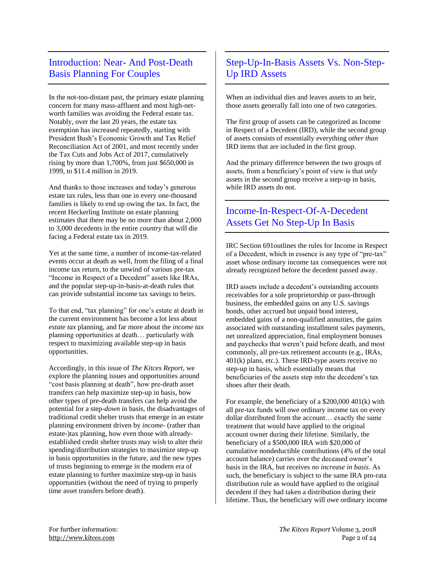### Introduction: Near- And Post-Death Basis Planning For Couples

In the not-too-distant past, the primary estate planning concern for many mass-affluent and most high-networth families was avoiding the Federal estate tax. Notably, over the last 20 years, the estate tax exemption has increased repeatedly, starting with President Bush's Economic Growth and Tax Relief Reconciliation Act of 2001, and most recently under the Tax Cuts and Jobs Act of 2017, cumulatively rising by more than 1,700%, from just \$650,000 in 1999, to \$11.4 million in 2019.

And thanks to those increases and today's generous estate tax rules, less than one in every one-thousand families is likely to end up owing the tax. In fact, the recent Heckerling Institute on estate planning estimates that there may be no more than about 2,000 to 3,000 decedents in the entire *country* that will die facing a Federal estate tax in 2019.

Yet at the same time, a number of income-tax-related events occur at death as well, from the filing of a final income tax return, to the unwind of various pre-tax "Income in Respect of a Decedent" assets like IRAs, and the popular step-up-in-basis-at-death rules that can provide substantial income tax savings to heirs.

To that end, "tax planning" for one's estate at death in the current environment has become a lot less about *estate tax* planning, and far more about the *income tax* planning opportunities at death… particularly with respect to maximizing available step-up in basis opportunities.

Accordingly, in this issue of *The Kitces Report*, we explore the planning issues and opportunities around "cost basis planning at death", how pre-death asset transfers can help maximize step-up in basis, how other types of pre-death transfers can help avoid the potential for a step-*down* in basis, the disadvantages of traditional credit shelter trusts that emerge in an estate planning environment driven by *income-* (rather than estate-)tax planning, how even those with alreadyestablished credit shelter trusts may wish to alter their spending/distribution strategies to maximize step-up in basis opportunities in the future, and the new types of trusts beginning to emerge in the modern era of estate planning to further maximize step-up in basis opportunities (without the need of trying to properly time asset transfers before death).

### Step-Up-In-Basis Assets Vs. Non-Step-Up IRD Assets

When an individual dies and leaves assets to an heir, those assets generally fall into one of two categories.

The first group of assets can be categorized as Income in Respect of a Decedent (IRD), while the second group of assets consists of essentially everything *other than* IRD items that are included in the first group.

And the primary difference between the two groups of assets, from a beneficiary's point of view is that *only* assets in the second group receive a step-up in basis, while IRD assets do not.

# Income-In-Respect-Of-A-Decedent Assets Get No Step-Up In Basis

IRC Section 691outlines the rules for Income in Respect of a Decedent, which in essence is any type of "pre-tax" asset whose ordinary income tax consequences were not already recognized before the decedent passed away.

IRD assets include a decedent's outstanding accounts receivables for a sole proprietorship or pass-through business, the embedded gains on any U.S. savings bonds, other accrued but unpaid bond interest, embedded gains of a non-qualified annuities, the gains associated with outstanding installment sales payments, net unrealized appreciation, final employment bonuses and paychecks that weren't paid before death, and most commonly, all pre-tax retirement accounts (e.g., IRAs,  $401(k)$  plans, etc.). These IRD-type assets receive no step-up in basis, which essentially means that beneficiaries of the assets step into the decedent's tax shoes after their death.

For example, the beneficiary of a \$200,000 401(k) with all pre-tax funds will owe ordinary income tax on every dollar distributed from the account… exactly the same treatment that would have applied to the original account owner during their lifetime. Similarly, the beneficiary of a \$500,000 IRA with \$20,000 of cumulative nondeductible contributions (4% of the total account balance) carries over the deceased owner's basis in the IRA, but receives *no increase in basis*. As such, the beneficiary is subject to the same IRA pro-rata distribution rule as would have applied to the original decedent if they had taken a distribution during their lifetime. Thus, the beneficiary will owe ordinary income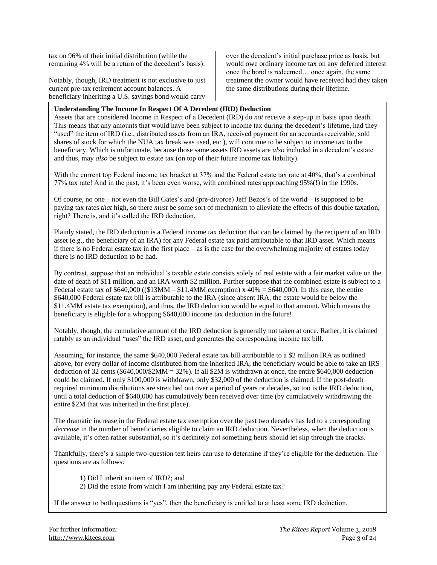tax on 96% of their initial distribution (while the remaining 4% will be a return of the decedent's basis).

Notably, though, IRD treatment is not exclusive to just current pre-tax retirement account balances. A beneficiary inheriting a U.S. savings bond would carry over the decedent's initial purchase price as basis, but would owe ordinary income tax on any deferred interest once the bond is redeemed… once again, the same treatment the owner would have received had they taken the same distributions during their lifetime.

#### **Understanding The Income In Respect Of A Decedent (IRD) Deduction**

Assets that are considered Income in Respect of a Decedent (IRD) do *not* receive a step-up in basis upon death. This means that any amounts that would have been subject to income tax during the decedent's lifetime, had they "used" the item of IRD (i.e., distributed assets from an IRA, received payment for an accounts receivable, sold shares of stock for which the NUA tax break was used, etc.), will continue to be subject to income tax to the beneficiary. Which is unfortunate, because those same assets IRD assets are *also* included in a decedent's estate and thus, may *also* be subject to estate tax (on top of their future income tax liability).

With the current top Federal income tax bracket at 37% and the Federal estate tax rate at 40%, that's a combined 77% tax rate! And in the past, it's been even worse, with combined rates approaching 95%(!) in the 1990s.

Of course, no one – not even the Bill Gates's and (pre-divorce) Jeff Bezos's of the world – is supposed to be paying tax rates *that* high, so there *must* be some sort of mechanism to alleviate the effects of this double taxation, right? There is, and it's called the IRD deduction.

Plainly stated, the IRD deduction is a Federal income tax deduction that can be claimed by the recipient of an IRD asset (e.g., the beneficiary of an IRA) for any Federal estate tax paid attributable to that IRD asset. Which means if there is no Federal estate tax in the first place – as is the case for the overwhelming majority of estates today – there is no IRD deduction to be had.

By contrast, suppose that an individual's taxable estate consists solely of real estate with a fair market value on the date of death of \$11 million, and an IRA worth \$2 million. Further suppose that the combined estate is subject to a Federal estate tax of  $$640,000$  ((\$13MM – \$11.4MM exemption) x 40% = \$640,000). In this case, the entire \$640,000 Federal estate tax bill is attributable to the IRA (since absent IRA, the estate would be below the \$11.4MM estate tax exemption), and thus, the IRD deduction would be equal to that amount. Which means the beneficiary is eligible for a whopping \$640,000 income tax deduction in the future!

Notably, though, the cumulative amount of the IRD deduction is generally not taken at once. Rather, it is claimed ratably as an individual "uses" the IRD asset, and generates the corresponding income tax bill.

Assuming, for instance, the same \$640,000 Federal estate tax bill attributable to a \$2 million IRA as outlined above, for every dollar of income distributed from the inherited IRA, the beneficiary would be able to take an IRS deduction of 32 cents (\$640,000/\$2MM = 32%). If all \$2M is withdrawn at once, the entire \$640,000 deduction could be claimed. If only \$100,000 is withdrawn, only \$32,000 of the deduction is claimed. If the post-death required minimum distributions are stretched out over a period of years or decades, so too is the IRD deduction, until a total deduction of \$640,000 has cumulatively been received over time (by cumulatively withdrawing the entire \$2M that was inherited in the first place).

The dramatic increase in the Federal estate tax exemption over the past two decades has led to a corresponding *decrease* in the number of beneficiaries eligible to claim an IRD deduction. Nevertheless, when the deduction is available, it's often rather substantial, so it's definitely not something heirs should let slip through the cracks.

Thankfully, there's a simple two-question test heirs can use to determine if they're eligible for the deduction. The questions are as follows:

1) Did I inherit an item of IRD?; and

2) Did the estate from which I am inheriting pay any Federal estate tax?

If the answer to both questions is "yes", then the beneficiary is entitled to at least some IRD deduction.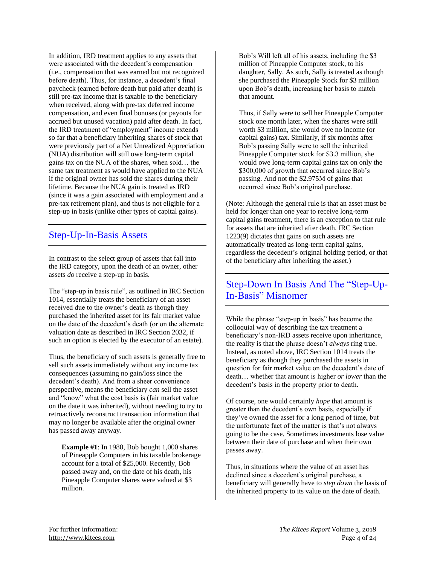In addition, IRD treatment applies to any assets that were associated with the decedent's compensation (i.e., compensation that was earned but not recognized before death). Thus, for instance, a decedent's final paycheck (earned before death but paid after death) is still pre-tax income that is taxable to the beneficiary when received, along with pre-tax deferred income compensation, and even final bonuses (or payouts for accrued but unused vacation) paid after death. In fact, the IRD treatment of "employment" income extends so far that a beneficiary inheriting shares of stock that were previously part of a Net Unrealized Appreciation (NUA) distribution will still owe long-term capital gains tax on the NUA of the shares, when sold… the same tax treatment as would have applied to the NUA if the original owner has sold the shares during their lifetime. Because the NUA gain is treated as IRD (since it was a gain associated with employment and a pre-tax retirement plan), and thus is not eligible for a step-up in basis (unlike other types of capital gains).

# Step-Up-In-Basis Assets

In contrast to the select group of assets that fall into the IRD category, upon the death of an owner, other assets *do* receive a step-up in basis.

The "step-up in basis rule", as outlined in [IRC Section](https://www.law.cornell.edu/uscode/text/26/1014)  [1014,](https://www.law.cornell.edu/uscode/text/26/1014) essentially treats the beneficiary of an asset received due to the owner's death as though they purchased the inherited asset for its fair market value on the date of the decedent's death (or on the alternate valuation date as described in [IRC Section 2032,](https://www.law.cornell.edu/uscode/text/26/2032) if such an option is elected by the executor of an estate).

Thus, the beneficiary of such assets is generally free to sell such assets immediately without any income tax consequences (assuming no gain/loss since the decedent's death). And from a sheer convenience perspective, means the beneficiary *can* sell the asset and "know" what the cost basis is (fair market value on the date it was inherited), without needing to try to retroactively reconstruct transaction information that may no longer be available after the original owner has passed away anyway.

**Example #1**: In 1980, Bob bought 1,000 shares of Pineapple Computers in his taxable brokerage account for a total of \$25,000. Recently, Bob passed away and, on the date of his death, his Pineapple Computer shares were valued at \$3 million.

Bob's Will left all of his assets, including the \$3 million of Pineapple Computer stock, to his daughter, Sally. As such, Sally is treated as though she purchased the Pineapple Stock for \$3 million upon Bob's death, increasing her basis to match that amount.

Thus, if Sally were to sell her Pineapple Computer stock one month later, when the shares were still worth \$3 million, she would owe no income (or capital gains) tax. Similarly, if six months after Bob's passing Sally were to sell the inherited Pineapple Computer stock for \$3.3 million, she would owe long-term capital gains tax on only the \$300,000 of growth that occurred since Bob's passing. And not the \$2.975M of gains that occurred since Bob's original purchase.

(Note: Although the general rule is that an asset must be held for longer than one year to receive long-term capital gains treatment, there is an exception to that rule for assets that are inherited after death. IRC Section 1223(9) dictates that gains on such assets are automatically treated as long-term capital gains, regardless the decedent's original holding period, or that of the beneficiary after inheriting the asset.)

# Step-Down In Basis And The "Step-Up-In-Basis" Misnomer

While the phrase "step-up in basis" has become the colloquial way of describing the tax treatment a beneficiary's non-IRD assets receive upon inheritance, the reality is that the phrase doesn't *always* ring true. Instead, as noted above, [IRC Section 1014](https://www.law.cornell.edu/uscode/text/26/1014) treats the beneficiary as though they purchased the assets in question for fair market value on the decedent's date of death… whether that amount is higher *or lower* than the decedent's basis in the property prior to death.

Of course, one would certainly *hope* that amount is greater than the decedent's own basis, especially if they've owned the asset for a long period of time, but the unfortunate fact of the matter is that's not always going to be the case. Sometimes investments lose value between their date of purchase and when their own passes away.

Thus, in situations where the value of an asset has declined since a decedent's original purchase, a beneficiary will generally have to *step down* the basis of the inherited property to its value on the date of death.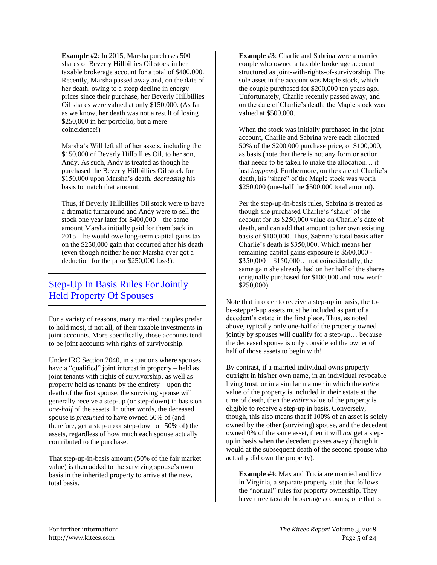**Example #2**: In 2015, Marsha purchases 500 shares of Beverly Hillbillies Oil stock in her taxable brokerage account for a total of \$400,000. Recently, Marsha passed away and, on the date of her death, owing to a steep decline in energy prices since their purchase, her Beverly Hillbillies Oil shares were valued at only \$150,000. (As far as we know, her death was not a result of losing \$250,000 in her portfolio, but a mere coincidence!)

Marsha's Will left all of her assets, including the \$150,000 of Beverly Hillbillies Oil, to her son, Andy. As such, Andy is treated as though he purchased the Beverly Hillbillies Oil stock for \$150,000 upon Marsha's death, *decreasing* his basis to match that amount.

Thus, if Beverly Hillbillies Oil stock were to have a dramatic turnaround and Andy were to sell the stock one year later for \$400,000 – the same amount Marsha initially paid for them back in 2015 – he would owe long-term capital gains tax on the \$250,000 gain that occurred after his death (even though neither he nor Marsha ever got a deduction for the prior \$250,000 loss!).

# Step-Up In Basis Rules For Jointly Held Property Of Spouses

For a variety of reasons, many married couples prefer to hold most, if not all, of their taxable investments in joint accounts. More specifically, those accounts tend to be joint accounts with rights of survivorship.

Under [IRC Section 2040,](https://www.law.cornell.edu/uscode/text/26/2040) in situations where spouses have a "qualified" joint interest in property – held as joint tenants with rights of survivorship, as well as property held as tenants by the entirety – upon the death of the first spouse, the surviving spouse will generally receive a step-up (or step-down) in basis on *one-half* of the assets. In other words, the deceased spouse is *presumed* to have owned 50% of (and therefore, get a step-up or step-down on 50% of) the assets, regardless of how much each spouse actually contributed to the purchase.

That step-up-in-basis amount (50% of the fair market value) is then added to the surviving spouse's own basis in the inherited property to arrive at the new, total basis.

**Example #3**: Charlie and Sabrina were a married couple who owned a taxable brokerage account structured as joint-with-rights-of-survivorship. The sole asset in the account was Maple stock, which the couple purchased for \$200,000 ten years ago. Unfortunately, Charlie recently passed away, and on the date of Charlie's death, the Maple stock was valued at \$500,000.

When the stock was initially purchased in the joint account, Charlie and Sabrina were each allocated 50% of the \$200,000 purchase price, or \$100,000, as basis (note that there is not any form or action that needs to be taken to make the allocation… it just *happens*). Furthermore, on the date of Charlie's death, his "share" of the Maple stock was worth \$250,000 (one-half the \$500,000 total amount).

Per the step-up-in-basis rules, Sabrina is treated as though she purchased Charlie's "share" of the account for its \$250,000 value on Charlie's date of death, and can add that amount to her own existing basis of \$100,000. Thus, Sabrina's total basis after Charlie's death is \$350,000. Which means her remaining capital gains exposure is \$500,000 -  $$350,000 = $150,000...$  not coincidentally, the same gain she already had on her half of the shares (originally purchased for \$100,000 and now worth \$250,000).

Note that in order to receive a step-up in basis, the tobe-stepped-up assets must be included as part of a decedent's estate in the first place. Thus, as noted above, typically only one-half of the property owned jointly by spouses will qualify for a step-up… because the deceased spouse is only considered the owner of half of those assets to begin with!

By contrast, if a married individual owns property outright in his/her own name, in an individual revocable living trust, or in a similar manner in which the *entire* value of the property is included in their estate at the time of death, then the *entire* value of the property is eligible to receive a step-up in basis. Conversely, though, this also means that if 100% of an asset is solely owned by the other (surviving) spouse, and the decedent owned 0% of the same asset, then it will *not* get a stepup in basis when the decedent passes away (though it would at the subsequent death of the second spouse who actually did own the property).

**Example #4**: Max and Tricia are married and live in Virginia, a separate property state that follows the "normal" rules for property ownership. They have three taxable brokerage accounts; one that is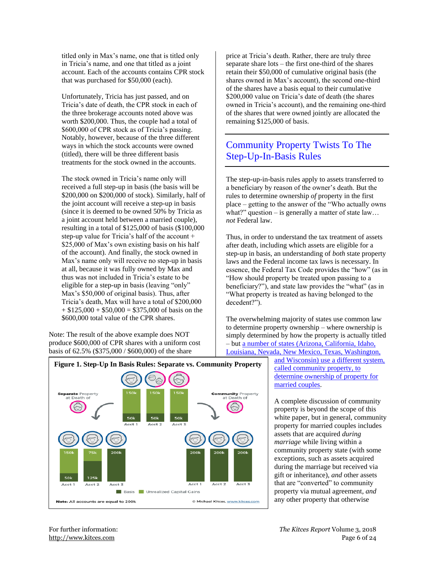titled only in Max's name, one that is titled only in Tricia's name, and one that titled as a joint account. Each of the accounts contains CPR stock that was purchased for \$50,000 (each).

Unfortunately, Tricia has just passed, and on Tricia's date of death, the CPR stock in each of the three brokerage accounts noted above was worth \$200,000. Thus, the couple had a total of \$600,000 of CPR stock as of Tricia's passing. Notably, however, because of the three different ways in which the stock accounts were owned (titled), there will be three different basis treatments for the stock owned in the accounts.

The stock owned in Tricia's name only will received a full step-up in basis (the basis will be \$200,000 on \$200,000 of stock). Similarly, half of the joint account will receive a step-up in basis (since it is deemed to be owned 50% by Tricia as a joint account held between a married couple), resulting in a total of \$125,000 of basis (\$100,000 step-up value for Tricia's half of the account + \$25,000 of Max's own existing basis on his half of the account). And finally, the stock owned in Max's name only will receive no step-up in basis at all, because it was fully owned by Max and thus was not included in Tricia's estate to be eligible for a step-up in basis (leaving "only" Max's \$50,000 of original basis). Thus, after Tricia's death, Max will have a total of \$200,000  $+$  \$125,000 + \$50,000 = \$375,000 of basis on the \$600,000 total value of the CPR shares.

Note: The result of the above example does NOT produce \$600,000 of CPR shares with a uniform cost basis of 62.5% (\$375,000 / \$600,000) of the share

price at Tricia's death. Rather, there are truly three separate share lots – the first one-third of the shares retain their \$50,000 of cumulative original basis (the shares owned in Max's account), the second one-third of the shares have a basis equal to their cumulative \$200,000 value on Tricia's date of death (the shares owned in Tricia's account), and the remaining one-third of the shares that were owned jointly are allocated the remaining \$125,000 of basis.

### Community Property Twists To The Step-Up-In-Basis Rules

The step-up-in-basis rules apply to assets transferred to a beneficiary by reason of the owner's death. But the rules to determine ownership *of* property in the first place – getting to the answer of the "Who actually owns what?" question – is generally a matter of state  $law...$ *not* Federal law.

Thus, in order to understand the tax treatment of assets after death, including which assets are eligible for a step-up in basis, an understanding of *both* state property laws and the Federal income tax laws is necessary. In essence, the Federal Tax Code provides the "how" (as in "How should property be treated upon passing to a beneficiary?"), and state law provides the "what" (as in "What property is treated as having belonged to the decedent?").

The overwhelming majority of states use common law to determine property ownership – where ownership is simply determined by how the property is actually titled – bu[t a number of states \(Arizona, California, Idaho,](https://www.irs.gov/pub/irs-pdf/p555.pdf)  [Louisiana, Nevada, New Mexico, Texas, Washington,](https://www.irs.gov/pub/irs-pdf/p555.pdf) 



[and Wisconsin\) use a different system,](https://www.irs.gov/pub/irs-pdf/p555.pdf)  [called community property, to](https://www.irs.gov/pub/irs-pdf/p555.pdf)  [determine ownership of property for](https://www.irs.gov/pub/irs-pdf/p555.pdf)  [married couples.](https://www.irs.gov/pub/irs-pdf/p555.pdf)

A complete discussion of community property is beyond the scope of this white paper, but in general, community property for married couples includes assets that are acquired *during marriage* while living within a community property state (with some exceptions, such as assets acquired during the marriage but received via gift or inheritance), *and* other assets that are "converted" to community property via mutual agreement, *and*  any other property that otherwise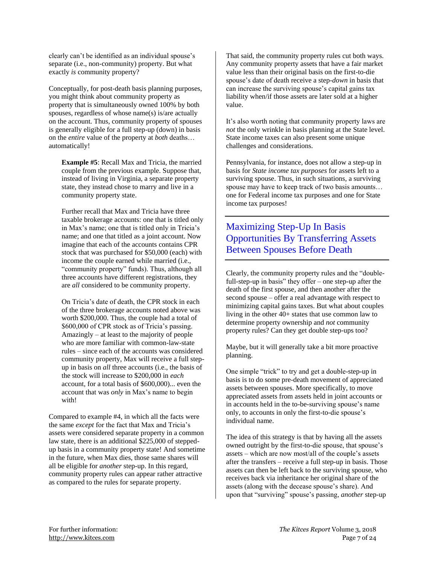clearly can't be identified as an individual spouse's separate (i.e., non-community) property. But what exactly *is* community property?

Conceptually, for post-death basis planning purposes, you might think about community property as property that is simultaneously owned 100% by both spouses, regardless of whose name(s) is/are actually on the account. Thus, community property of spouses is generally eligible for a full step-up (down) in basis on the *entire* value of the property at *both* deaths… automatically!

**Example #5**: Recall Max and Tricia, the married couple from the previous example. Suppose that, instead of living in Virginia, a separate property state, they instead chose to marry and live in a community property state.

Further recall that Max and Tricia have three taxable brokerage accounts: one that is titled only in Max's name; one that is titled only in Tricia's name; and one that titled as a joint account. Now imagine that each of the accounts contains CPR stock that was purchased for \$50,000 (each) with income the couple earned while married (i.e., "community property" funds). Thus, although all three accounts have different registrations, they are *all* considered to be community property.

On Tricia's date of death, the CPR stock in each of the three brokerage accounts noted above was worth \$200,000. Thus, the couple had a total of \$600,000 of CPR stock as of Tricia's passing. Amazingly – at least to the majority of people who are more familiar with common-law-state rules – since each of the accounts was considered community property, Max will receive a full stepup in basis on *all* three accounts (i.e., the basis of the stock will increase to \$200,000 in *each* account, for a total basis of \$600,000)... even the account that was *only* in Max's name to begin with!

Compared to example #4, in which all the facts were the same *except* for the fact that Max and Tricia's assets were considered separate property in a common law state, there is an additional \$225,000 of steppedup basis in a community property state! And sometime in the future, when Max dies, those same shares will all be eligible for *another* step-up. In this regard, community property rules can appear rather attractive as compared to the rules for separate property.

That said, the community property rules cut both ways. Any community property assets that have a fair market value less than their original basis on the first-to-die spouse's date of death receive a step-*down* in basis that can increase the surviving spouse's capital gains tax liability when/if those assets are later sold at a higher value.

It's also worth noting that community property laws are *not* the only wrinkle in basis planning at the State level. State income taxes can also present some unique challenges and considerations.

Pennsylvania, for instance, does not allow a step-up in basis for *State income tax purposes* for assets left to a surviving spouse. Thus, in such situations, a surviving spouse may have to keep track of two basis amounts… one for Federal income tax purposes and one for State income tax purposes!

Maximizing Step-Up In Basis Opportunities By Transferring Assets Between Spouses Before Death

Clearly, the community property rules and the "doublefull-step-up in basis" they offer – one step-up after the death of the first spouse, and then another after the second spouse – offer a real advantage with respect to minimizing capital gains taxes. But what about couples living in the other 40+ states that use common law to determine property ownership and *not* community property rules? Can they get double step-ups too?

Maybe, but it will generally take a bit more proactive planning.

One simple "trick" to try and get a double-step-up in basis is to do some pre-death movement of appreciated assets between spouses. More specifically, to move appreciated assets from assets held in joint accounts or in accounts held in the to-be-surviving spouse's name only, to accounts in only the first-to-die spouse's individual name.

The idea of this strategy is that by having all the assets owned outright by the first-to-die spouse, that spouse's assets – which are now most/all of the couple's assets after the transfers – receive a full step-up in basis. Those assets can then be left back to the surviving spouse, who receives back via inheritance her original share of the assets (along with the decease spouse's share). And upon that "surviving" spouse's passing, *another* step-up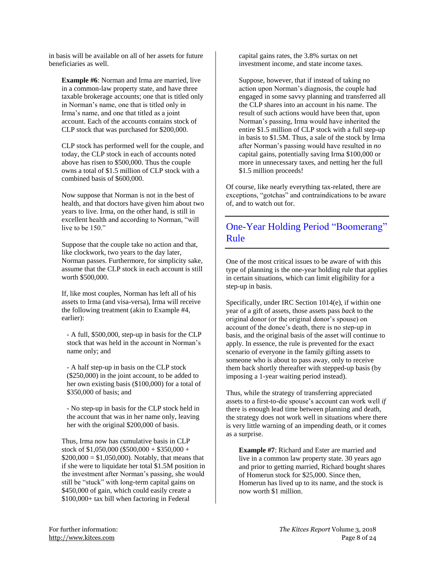in basis will be available on all of her assets for future beneficiaries as well.

**Example #6**: Norman and Irma are married, live in a common-law property state, and have three taxable brokerage accounts; one that is titled only in Norman's name, one that is titled only in Irma's name, and one that titled as a joint account. Each of the accounts contains stock of CLP stock that was purchased for \$200,000.

CLP stock has performed well for the couple, and today, the CLP stock in each of accounts noted above has risen to \$500,000. Thus the couple owns a total of \$1.5 million of CLP stock with a combined basis of \$600,000.

Now suppose that Norman is not in the best of health, and that doctors have given him about two years to live. Irma, on the other hand, is still in excellent health and according to Norman, "will live to be 150."

Suppose that the couple take no action and that, like clockwork, two years to the day later, Norman passes. Furthermore, for simplicity sake, assume that the CLP stock in each account is still worth \$500,000.

If, like most couples, Norman has left all of his assets to Irma (and visa-versa), Irma will receive the following treatment (akin to Example #4, earlier):

- A full, \$500,000, step-up in basis for the CLP stock that was held in the account in Norman's name only; and

- A half step-up in basis on the CLP stock (\$250,000) in the joint account, to be added to her own existing basis (\$100,000) for a total of \$350,000 of basis; and

- No step-up in basis for the CLP stock held in the account that was in her name only, leaving her with the original \$200,000 of basis.

Thus, Irma now has cumulative basis in CLP stock of \$1,050,000 (\$500,000 + \$350,000 +  $$200,000 = $1,050,000$ . Notably, that means that if she were to liquidate her total \$1.5M position in the investment after Norman's passing, she would still be "stuck" with long-term capital gains on \$450,000 of gain, which could easily create a \$100,000+ tax bill when factoring in Federal

capital gains rates, the 3.8% surtax on net investment income, and state income taxes.

Suppose, however, that if instead of taking no action upon Norman's diagnosis, the couple had engaged in some savvy planning and transferred all the CLP shares into an account in his name. The result of such actions would have been that, upon Norman's passing, Irma would have inherited the entire \$1.5 million of CLP stock with a full step-up in basis to \$1.5M. Thus, a sale of the stock by Irma after Norman's passing would have resulted in *no* capital gains, potentially saving Irma \$100,000 or more in unnecessary taxes, and netting her the full \$1.5 million proceeds!

Of course, like nearly everything tax-related, there are exceptions, "gotchas" and contraindications to be aware of, and to watch out for.

# One-Year Holding Period "Boomerang" Rule

One of the most critical issues to be aware of with this type of planning is the one-year holding rule that applies in certain situations, which can limit eligibility for a step-up in basis.

Specifically, under IRC Section 1014(e), if within one year of a gift of assets, those assets pass *back* to the original donor (or the original donor's spouse) on account of the donee's death, there is no step-up in basis, and the original basis of the asset will continue to apply. In essence, the rule is prevented for the exact scenario of everyone in the family gifting assets to someone who is about to pass away, only to receive them back shortly thereafter with stepped-up basis (by imposing a 1-year waiting period instead).

Thus, while the strategy of transferring appreciated assets to a first-to-die spouse's account can work well *if* there is enough lead time between planning and death, the strategy does not work well in situations where there is very little warning of an impending death, or it comes as a surprise.

**Example #7**: Richard and Ester are married and live in a common law property state. 30 years ago and prior to getting married, Richard bought shares of Homerun stock for \$25,000. Since then, Homerun has lived up to its name, and the stock is now worth \$1 million.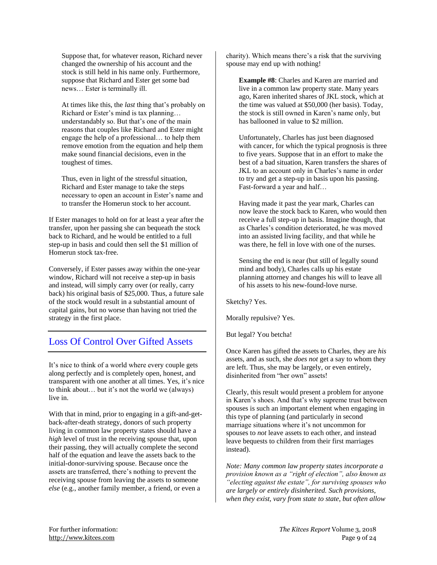Suppose that, for whatever reason, Richard never changed the ownership of his account and the stock is still held in his name only. Furthermore, suppose that Richard and Ester get some bad news… Ester is terminally ill.

At times like this, the *last* thing that's probably on Richard or Ester's mind is tax planning… understandably so. But that's one of the main reasons that couples like Richard and Ester might engage the help of a professional… to help them remove emotion from the equation and help them make sound financial decisions, even in the toughest of times.

Thus, even in light of the stressful situation, Richard and Ester manage to take the steps necessary to open an account in Ester's name and to transfer the Homerun stock to her account.

If Ester manages to hold on for at least a year after the transfer, upon her passing she can bequeath the stock back to Richard, and he would be entitled to a full step-up in basis and could then sell the \$1 million of Homerun stock tax-free.

Conversely, if Ester passes away within the one-year window, Richard will not receive a step-up in basis and instead, will simply carry over (or really, carry back) his original basis of \$25,000. Thus, a future sale of the stock would result in a substantial amount of capital gains, but no worse than having not tried the strategy in the first place.

### Loss Of Control Over Gifted Assets

It's nice to think of a world where every couple gets along perfectly and is completely open, honest, and transparent with one another at all times. Yes, it's nice to think about… but it's not the world we (always) live in.

With that in mind, prior to engaging in a gift-and-getback-after-death strategy, donors of such property living in common law property states should have a *high* level of trust in the receiving spouse that, upon their passing, they will actually complete the second half of the equation and leave the assets back to the initial-donor-surviving spouse. Because once the assets are transferred, there's nothing to prevent the receiving spouse from leaving the assets to someone *else* (e.g., another family member, a friend, or even a

charity). Which means there's a risk that the surviving spouse may end up with nothing!

**Example #8**: Charles and Karen are married and live in a common law property state. Many years ago, Karen inherited shares of JKL stock, which at the time was valued at \$50,000 (her basis). Today, the stock is still owned in Karen's name only, but has ballooned in value to \$2 million.

Unfortunately, Charles has just been diagnosed with cancer, for which the typical prognosis is three to five years. Suppose that in an effort to make the best of a bad situation, Karen transfers the shares of JKL to an account only in Charles's name in order to try and get a step-up in basis upon his passing. Fast-forward a year and half…

Having made it past the year mark, Charles can now leave the stock back to Karen, who would then receive a full step-up in basis. Imagine though, that as Charles's condition deteriorated, he was moved into an assisted living facility, and that while he was there, he fell in love with one of the nurses.

Sensing the end is near (but still of legally sound mind and body), Charles calls up his estate planning attorney and changes his will to leave all of his assets to his new-found-love nurse.

Sketchy? Yes.

Morally repulsive? Yes.

But legal? You betcha!

Once Karen has gifted the assets to Charles, they are *his* assets, and as such, she *does not* get a say to whom they are left. Thus, she may be largely, or even entirely, disinherited from "her own" assets!

Clearly, this result would present a problem for anyone in Karen's shoes. And that's why supreme trust between spouses is such an important element when engaging in this type of planning (and particularly in second marriage situations where it's not uncommon for spouses to *not* leave assets to each other, and instead leave bequests to children from their first marriages instead).

*Note: Many common law property states incorporate a provision known as a "right of election", also known as "electing against the estate", for surviving spouses who are largely or entirely disinherited. Such provisions, when they exist, vary from state to state, but often allow*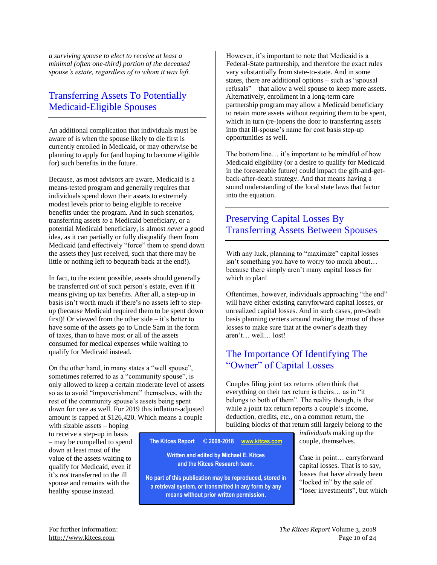*a surviving spouse to elect to receive at least a minimal (often one-third) portion of the deceased spouse's estate, regardless of to whom it was left.*

### Transferring Assets To Potentially Medicaid-Eligible Spouses

An additional complication that individuals must be aware of is when the spouse likely to die first is currently enrolled in Medicaid, or may otherwise be planning to apply for (and hoping to become eligible for) such benefits in the future.

Because, as most advisors are aware, Medicaid is a means-tested program and generally requires that individuals spend down their assets to extremely modest levels prior to being eligible to receive benefits under the program. And in such scenarios, transferring assets *to* a Medicaid beneficiary, or a potential Medicaid beneficiary, is almost *never* a good idea, as it can partially or fully disqualify them from Medicaid (and effectively "force" them to spend down the assets they just received, such that there may be little or nothing left to bequeath back at the end!).

In fact, to the extent possible, assets should generally be transferred *out* of such person's estate, even if it means giving up tax benefits. After all, a step-up in basis isn't worth much if there's no assets left to stepup (because Medicaid required them to be spent down first)! Or viewed from the other side – it's better to have some of the assets go to Uncle Sam in the form of taxes, than to have most or all of the assets consumed for medical expenses while waiting to qualify for Medicaid instead.

On the other hand, in many states a "well spouse", sometimes referred to as a "community spouse", is only allowed to keep a certain moderate level of assets so as to avoid "impoverishment" themselves, with the rest of the community spouse's assets being spent down for care as well. For 2019 this inflation-adjusted amount is capped at \$126,420. Which means a couple

with sizable assets – hoping to receive a step-up in basis – may be compelled to spend down at least most of the value of the assets waiting to qualify for Medicaid, even if it's *not* transferred to the ill spouse and remains with the healthy spouse instead.

However, it's important to note that Medicaid is a Federal-State partnership, and therefore the exact rules vary substantially from state-to-state. And in some states, there are additional options – such as "spousal refusals" – that allow a well spouse to keep more assets. Alternatively, enrollment in a long-term care partnership program may allow a Medicaid beneficiary to retain more assets without requiring them to be spent, which in turn (re-)opens the door to transferring assets into that ill-spouse's name for cost basis step-up opportunities as well.

The bottom line… it's important to be mindful of how Medicaid eligibility (or a desire to qualify for Medicaid in the foreseeable future) could impact the gift-and-getback-after-death strategy. And that means having a sound understanding of the local state laws that factor into the equation.

#### Preserving Capital Losses By Transferring Assets Between Spouses

With any luck, planning to "maximize" capital losses isn't something you have to worry too much about… because there simply aren't many capital losses for which to plan!

Oftentimes, however, individuals approaching "the end" will have either existing carryforward capital losses, or unrealized capital losses. And in such cases, pre-death basis planning centers around making the most of those losses to make sure that at the owner's death they aren't… well… lost!

### The Importance Of Identifying The "Owner" of Capital Losses

Couples filing joint tax returns often think that everything on their tax return is theirs… as in "it belongs to both of them". The reality though, is that while a joint tax return reports a couple's income, deduction, credits, etc., on a common return, the building blocks of that return still largely belong to the

**The Kitces Report © 2008-2018 [www.kitces.com](http://www.kitces.com/) Written and edited by Michael E. Kitces and the Kitces Research team.**

**No part of this publication may be reproduced, stored in a retrieval system, or transmitted in any form by any means without prior written permission.**

*individuals* making up the couple, themselves.

Case in point… carryforward capital losses. That is to say, losses that have already been "locked in" by the sale of "loser investments", but which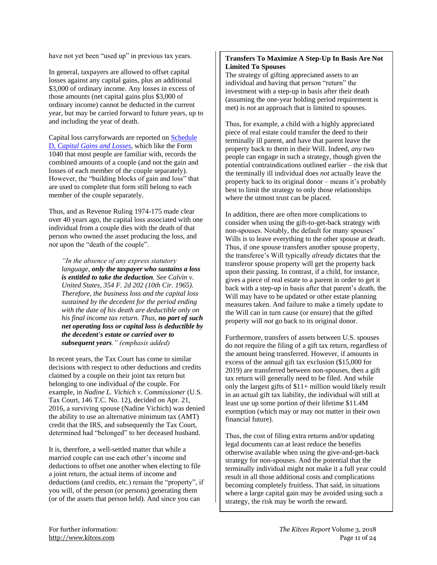have not yet been "used up" in previous tax years.

In general, taxpayers are allowed to offset capital losses against any capital gains, plus an additional \$3,000 of ordinary income. Any losses in excess of those amounts (net capital gains plus \$3,000 of ordinary income) cannot be deducted in the current year, but may be carried forward to future years, up to and including the year of death.

Capital loss carryforwards are reported on [Schedule](https://www.irs.gov/pub/irs-pdf/f1040sd.pdf)  D, *[Capital Gains and Losses](https://www.irs.gov/pub/irs-pdf/f1040sd.pdf)*, which like the Form 1040 that most people are familiar with, records the combined amounts of a couple (and not the gain and losses of each member of the couple separately). However, the "building blocks of gain and loss" that are used to complete that form still belong to each member of the couple separately.

Thus, and as Revenue Ruling 1974-175 made clear over 40 years ago, the capital loss associated with one individual from a couple dies with the death of that person who owned the asset producing the loss, and *not* upon the "death of the couple".

*"In the absence of any express statutory language, only the taxpayer who sustains a loss is entitled to take the deduction. See Calvin v. United States, 354 F. 2d 202 (10th Cir. 1965). Therefore, the business loss and the capital loss sustained by the decedent for the period ending with the date of his death are deductible only on his final income tax return. Thus, no part of such net operating loss or capital loss is deductible by the decedent's estate or carried over to subsequent years." (emphasis added)*

In recent years, the Tax Court has come to similar decisions with respect to other deductions and credits claimed by a couple on their joint tax return but belonging to one individual *of* the couple. For example, in *Nadine L. Vichich v. Commissioner* (U.S. Tax Court, 146 T.C. No. 12), decided on Apr. 21, 2016, a surviving spouse (Nadine Vichich) was denied the ability to use an alternative minimum tax (AMT) credit that the IRS, and subsequently the Tax Court, determined had "belonged" to her deceased husband.

It is, therefore, a well-settled matter that while a married couple can use each other's income and deductions to offset one another when electing to file a joint return, the actual items of income and deductions (and credits, etc.) remain the "property", if you will, of the person (or persons) generating them (or of the assets that person held). And since you can

#### **Transfers To Maximize A Step-Up In Basis Are Not Limited To Spouses**

The strategy of gifting appreciated assets to an individual and having that person "return" the investment with a step-up in basis after their death (assuming the one-year holding period requirement is met) is *not* an approach that is limited to spouses.

Thus, for example, a child with a highly appreciated piece of real estate could transfer the deed to their terminally ill parent, and have that parent leave the property back to them in their Will. Indeed, *any* two people can engage in such a strategy, though given the potential contraindications outlined earlier – the risk that the terminally ill individual does *not* actually leave the property back to its original donor – means it's probably best to limit the strategy to only those relationships where the utmost trust can be placed.

In addition, there are often more complications to consider when using the gift-to-get-back strategy with non-spouses. Notably, the default for many spouses' Wills is to leave everything to the other spouse at death. Thus, if one spouse transfers another spouse property, the transferee's Will typically *already* dictates that the transferor spouse property will get the property back upon their passing. In contrast, if a child, for instance, gives a piece of real estate to a parent in order to get it back with a step-up in basis after that parent's death, the Will may have to be updated or other estate planning measures taken. And failure to make a timely update *to*  the Will can in turn cause (or ensure) that the gifted property will *not* go back to its original donor.

Furthermore, transfers of assets between U.S. spouses do not require the filing of a gift tax return, regardless of the amount being transferred. However, if amounts in excess of the annual gift tax exclusion (\$15,000 for 2019) are transferred between non-spouses, then a gift tax return will generally need to be filed. And while only the largest gifts of \$11+ million would likely result in an actual gift tax liability, the individual will still at least use up some portion *of* their lifetime \$11.4M exemption (which may or may not matter in their own financial future).

Thus, the cost of filing extra returns and/or updating legal documents can at least reduce the benefits otherwise available when using the give-and-get-back strategy for non-spouses. And the potential that the terminally individual might not make it a full year could result in all those additional costs and complications becoming completely fruitless. That said, in situations where a large capital gain may be avoided using such a strategy, the risk may be worth the reward.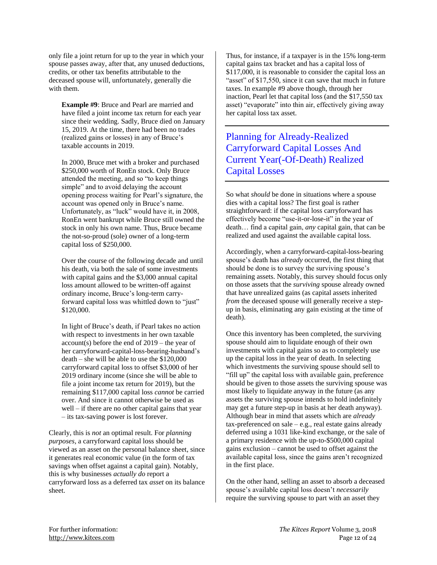only file a joint return for up to the year in which your spouse passes away, after that, any unused deductions, credits, or other tax benefits attributable to the deceased spouse will, unfortunately, generally die with them.

**Example #9**: Bruce and Pearl are married and have filed a joint income tax return for each year since their wedding. Sadly, Bruce died on January 15, 2019. At the time, there had been no trades (realized gains or losses) in any of Bruce's taxable accounts in 2019.

In 2000, Bruce met with a broker and purchased \$250,000 worth of RonEn stock. Only Bruce attended the meeting, and so "to keep things simple" and to avoid delaying the account opening process waiting for Pearl's signature, the account was opened only in Bruce's name. Unfortunately, as "luck" would have it, in 2008, RonEn went bankrupt while Bruce still owned the stock in only his own name. Thus, Bruce became the not-so-proud (sole) owner of a long-term capital loss of \$250,000.

Over the course of the following decade and until his death, via both the sale of some investments with capital gains and the \$3,000 annual capital loss amount allowed to be written-off against ordinary income, Bruce's long-term carryforward capital loss was whittled down to "just" \$120,000.

In light of Bruce's death, if Pearl takes no action with respect to investments in her own taxable  $account(s)$  before the end of  $2019$  – the year of her carryforward-capital-loss-bearing-husband's death – she will be able to use the \$120,000 carryforward capital loss to offset \$3,000 of her 2019 ordinary income (since she will be able to file a joint income tax return for 2019), but the remaining \$117,000 capital loss *cannot* be carried over. And since it cannot otherwise be used as well – if there are no other capital gains that year – its tax-saving power is lost forever.

Clearly, this is *not* an optimal result. For *planning purposes*, a carryforward capital loss should be viewed as an asset on the personal balance sheet, since it generates real economic value (in the form of tax savings when offset against a capital gain). Notably, this is why businesses *actually do* report a carryforward loss as a deferred tax *asset* on its balance sheet.

Thus, for instance, if a taxpayer is in the 15% long-term capital gains tax bracket and has a capital loss of \$117,000, it is reasonable to consider the capital loss an "asset" of \$17,550, since it can save that much in future taxes. In example #9 above though, through her inaction, Pearl let that capital loss (and the \$17,550 tax asset) "evaporate" into thin air, effectively giving away her capital loss tax asset.

Planning for Already-Realized Carryforward Capital Losses And Current Year(-Of-Death) Realized Capital Losses

So what *should* be done in situations where a spouse dies with a capital loss? The first goal is rather straightforward: if the capital loss carryforward has effectively become "use-it-or-lose-it" in the year of death… find a capital gain, *any* capital gain, that can be realized and used against the available capital loss.

Accordingly, when a carryforward-capital-loss-bearing spouse's death has *already* occurred, the first thing that should be done is to survey the surviving spouse's remaining assets. Notably, this survey should focus only on those assets that the *surviving* spouse already owned that have unrealized gains (as capital assets inherited *from* the deceased spouse will generally receive a stepup in basis, eliminating any gain existing at the time of death).

Once this inventory has been completed, the surviving spouse should aim to liquidate enough of their own investments with capital gains so as to completely use up the capital loss in the year of death. In selecting which investments the surviving spouse should sell to "fill up" the capital loss with available gain, preference should be given to those assets the surviving spouse was most likely to liquidate anyway in the future (as any assets the surviving spouse intends to hold indefinitely may get a future step-up in basis at her death anyway). Although bear in mind that assets which are *already*  tax-preferenced on sale – e.g., real estate gains already deferred using a 1031 like-kind exchange, or the sale of a primary residence with the up-to-\$500,000 capital gains exclusion – cannot be used to offset against the available capital loss, since the gains aren't recognized in the first place.

On the other hand, selling an asset to absorb a deceased spouse's available capital loss doesn't *necessarily* require the surviving spouse to part with an asset they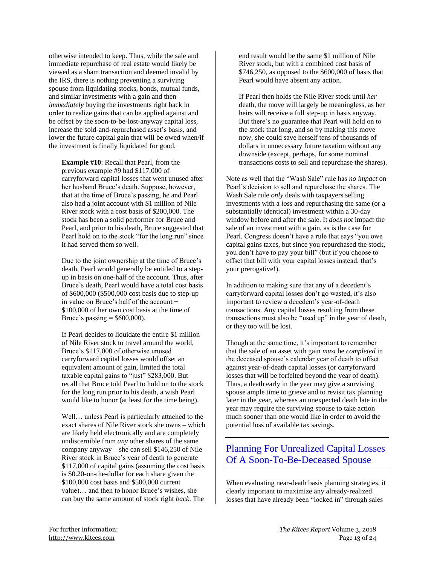otherwise intended to keep. Thus, while the sale and immediate repurchase of real estate would likely be viewed as a sham transaction and deemed invalid by the IRS, there is nothing preventing a surviving spouse from liquidating stocks, bonds, mutual funds, and similar investments with a gain and then *immediately* buying the investments right back in order to realize gains that can be applied against and be offset by the soon-to-be-lost-anyway capital loss, increase the sold-and-repurchased asset's basis, and lower the future capital gain that will be owed when/if the investment is finally liquidated for good.

**Example #10**: Recall that Pearl, from the previous example #9 had \$117,000 of carryforward capital losses that went unused after her husband Bruce's death. Suppose, however, that at the time of Bruce's passing, he and Pearl also had a joint account with \$1 million of Nile River stock with a cost basis of \$200,000. The stock has been a solid performer for Bruce and Pearl, and prior to his death, Bruce suggested that Pearl hold on to the stock "for the long run" since it had served them so well.

Due to the joint ownership at the time of Bruce's death, Pearl would generally be entitled to a stepup in basis on one-half of the account. Thus, after Bruce's death, Pearl would have a total cost basis of \$600,000 (\$500,000 cost basis due to step-up in value on Bruce's half of the account + \$100,000 of her own cost basis at the time of Bruce's passing  $=$  \$600,000).

If Pearl decides to liquidate the entire \$1 million of Nile River stock to travel around the world, Bruce's \$117,000 of otherwise unused carryforward capital losses would offset an equivalent amount of gain, limited the total taxable capital gains to "just" \$283,000. But recall that Bruce told Pearl to hold on to the stock for the long run prior to his death, a wish Pearl would like to honor (at least for the time being).

Well… unless Pearl is particularly attached to the exact shares of Nile River stock she owns – which are likely held electronically and are completely undiscernible from *any* other shares of the same company anyway – she can sell \$146,250 of Nile River stock in Bruce's year of death to generate \$117,000 of capital gains (assuming the cost basis is \$0.20-on-the-dollar for each share given the \$100,000 cost basis and \$500,000 current value)… and then to honor Bruce's wishes, she can buy the same amount of stock right *back*. The

end result would be the same \$1 million of Nile River stock, but with a combined cost basis of \$746,250, as opposed to the \$600,000 of basis that Pearl would have absent any action.

If Pearl then holds the Nile River stock until *her* death, the move will largely be meaningless, as her heirs will receive a full step-up in basis anyway. But there's no guarantee that Pearl will hold on to the stock that long, and so by making this move now, she could save herself tens of thousands of dollars in unnecessary future taxation without any downside (except, perhaps, for some nominal transactions costs to sell and repurchase the shares).

Note as well that the "Wash Sale" rule has *no impact* on Pearl's decision to sell and repurchase the shares. The Wash Sale rule *only* deals with taxpayers selling investments with a *loss* and repurchasing the same (or a substantially identical) investment within a 30-day window before and after the sale. It *does not* impact the sale of an investment with a gain, as is the case for Pearl. Congress doesn't have a rule that says "you owe capital gains taxes, but since you repurchased the stock, you don't have to pay your bill" (but if you choose to offset that bill with your capital losses instead, that's your prerogative!).

In addition to making sure that any of a decedent's carryforward capital losses don't go wasted, it's also important to review a decedent's year-of-death transactions. Any capital losses resulting from these transactions must also be "used up" in the year of death, or they too will be lost.

Though at the same time, it's important to remember that the sale of an asset with gain *must* be *completed* in the deceased spouse's calendar year of death to offset against year-of-death capital losses (or carryforward losses that will be forfeited beyond the year of death). Thus, a death early in the year may give a surviving spouse ample time to grieve and to revisit tax planning later in the year, whereas an unexpected death late in the year may require the surviving spouse to take action much sooner than one would like in order to avoid the potential loss of available tax savings.

### Planning For Unrealized Capital Losses Of A Soon-To-Be-Deceased Spouse

When evaluating near-death basis planning strategies, it clearly important to maximize any already-realized losses that have already been "locked in" through sales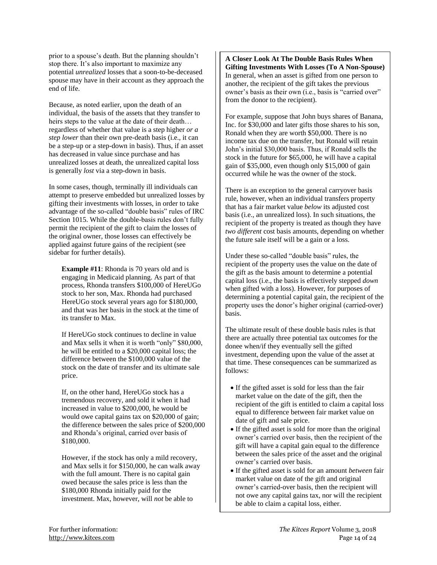prior to a spouse's death. But the planning shouldn't stop there. It's also important to maximize any potential *unrealized* losses that a soon-to-be-deceased spouse may have in their account as they approach the end of life.

Because, as noted earlier, upon the death of an individual, the basis of the assets that they transfer to heirs steps to the value at the date of their death… regardless of whether that value is a step higher *or a step lower* than their own pre-death basis (i.e., it can be a step-up or a step-down in basis). Thus, if an asset has decreased in value since purchase and has unrealized losses at death, the unrealized capital loss is generally *lost* via a step-down in basis.

In some cases, though, terminally ill individuals can attempt to preserve embedded but unrealized losses by gifting their investments with losses, in order to take advantage of the so-called "double basis" rules of IRC Section 1015. While the double-basis rules don't fully permit the recipient of the gift to claim the losses of the original owner, those losses can effectively be applied against future gains of the recipient (see sidebar for further details).

**Example #11:** Rhonda is 70 years old and is engaging in Medicaid planning. As part of that process, Rhonda transfers \$100,000 of HereUGo stock to her son, Max. Rhonda had purchased HereUGo stock several years ago for \$180,000, and that was her basis in the stock at the time of its transfer to Max.

If HereUGo stock continues to decline in value and Max sells it when it is worth "only" \$80,000, he will be entitled to a \$20,000 capital loss; the difference between the \$100,000 value of the stock on the date of transfer and its ultimate sale price.

If, on the other hand, HereUGo stock has a tremendous recovery, and sold it when it had increased in value to \$200,000, he would be would owe capital gains tax on \$20,000 of gain; the difference between the sales price of \$200,000 and Rhonda's original, carried over basis of \$180,000.

However, if the stock has only a mild recovery, and Max sells it for \$150,000, he can walk away with the full amount. There is no capital gain owed because the sales price is less than the \$180,000 Rhonda initially paid for the investment. Max, however, will *not* be able to

**A Closer Look At The Double Basis Rules When Gifting Investments With Losses (To A Non-Spouse)** In general, when an asset is gifted from one person to another, the recipient of the gift takes the previous owner's basis as their own (i.e., basis is "carried over" from the donor to the recipient).

For example, suppose that John buys shares of Banana, Inc. for \$30,000 and later gifts those shares to his son, Ronald when they are worth \$50,000. There is no income tax due on the transfer, but Ronald will retain John's initial \$30,000 basis. Thus, if Ronald sells the stock in the future for \$65,000, he will have a capital gain of \$35,000, even though only \$15,000 of gain occurred while he was the owner of the stock.

There is an exception to the general carryover basis rule, however, when an individual transfers property that has a fair market value *below* its adjusted cost basis (i.e., an unrealized loss). In such situations, the recipient of the property is treated as though they have *two different* cost basis amounts, depending on whether the future sale itself will be a gain or a loss.

Under these so-called "double basis" rules, the recipient of the property uses the value on the date of the gift as the basis amount to determine a potential capital loss (i.e., the basis is effectively stepped *down*  when gifted with a loss). However, for purposes of determining a potential capital gain, the recipient of the property uses the donor's higher original (carried-over) basis.

The ultimate result of these double basis rules is that there are actually three potential tax outcomes for the donee when/if they eventually sell the gifted investment, depending upon the value of the asset at that time. These consequences can be summarized as follows:

- If the gifted asset is sold for less than the fair market value on the date of the gift, then the recipient of the gift is entitled to claim a capital loss equal to difference between fair market value on date of gift and sale price.
- If the gifted asset is sold for more than the original owner's carried over basis, then the recipient of the gift will have a capital gain equal to the difference between the sales price of the asset and the original owner's carried over basis.
- If the gifted asset is sold for an amount *between* fair market value on date of the gift and original owner's carried-over basis, then the recipient will not owe any capital gains tax, nor will the recipient be able to claim a capital loss, either.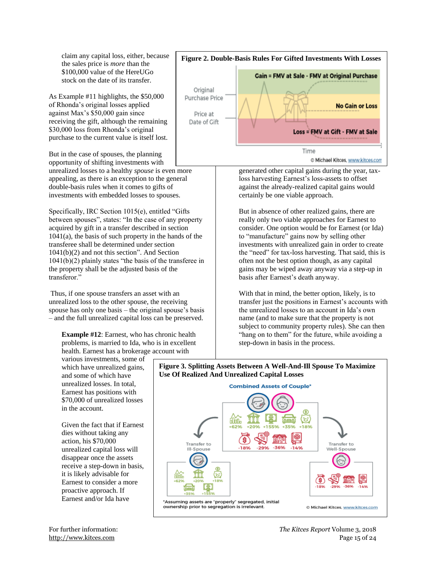claim any capital loss, either, because the sales price is *more* than the \$100,000 value of the HereUGo stock on the date of its transfer.

As Example #11 highlights, the \$50,000 of Rhonda's original losses applied against Max's \$50,000 gain since receiving the gift, although the remaining \$30,000 loss from Rhonda's original purchase to the current value is itself lost.

But in the case of spouses, the planning opportunity of shifting investments with unrealized losses to a healthy *spouse* is even more appealing, as there is an exception to the general double-basis rules when it comes to gifts of investments with embedded losses to spouses.

Specifically, IRC Section 1015(e), entitled "Gifts between spouses", states: "In the case of any property acquired by gift in a transfer described in section  $1041(a)$ , the basis of such property in the hands of the transferee shall be determined under section 1041(b)(2) and not this section". And Section 1041(b)(2) plainly states "the basis of the transferee in the property shall be the adjusted basis of the transferor."

Thus, if one spouse transfers an asset with an unrealized loss to the other spouse, the receiving spouse has only one basis – the original spouse's basis – and the full unrealized capital loss can be preserved.

**Example #12**: Earnest, who has chronic health problems, is married to Ida, who is in excellent health. Earnest has a brokerage account with

various investments, some of which have unrealized gains, and some of which have unrealized losses. In total, Earnest has positions with \$70,000 of unrealized losses in the account.

Given the fact that if Earnest dies without taking any action, his \$70,000 unrealized capital loss will disappear once the assets receive a step-down in basis, it is likely advisable for Earnest to consider a more proactive approach. If Earnest and/or Ida have



generated other capital gains during the year, taxloss harvesting Earnest's loss-assets to offset against the already-realized capital gains would certainly be one viable approach.

But in absence of other realized gains, there are really only two viable approaches for Earnest to consider. One option would be for Earnest (or Ida) to "manufacture" gains now by selling other investments with unrealized gain in order to create the "need" for tax-loss harvesting. That said, this is often not the best option though, as any capital gains may be wiped away anyway via a step-up in basis after Earnest's death anyway.

With that in mind, the better option, likely, is to transfer just the positions in Earnest's accounts with the unrealized losses to an account in Ida's own name (and to make sure that the property is not subject to community property rules). She can then "hang on to them" for the future, while avoiding a step-down in basis in the process.

#### **Figure 3. Splitting Assets Between A Well-And-Ill Spouse To Maximize Use Of Realized And Unrealized Capital Losses**

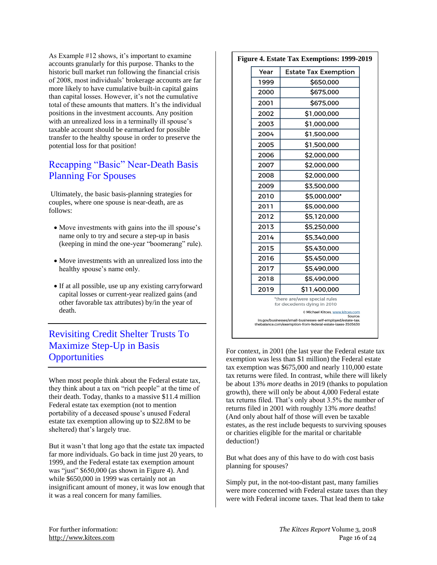As Example #12 shows, it's important to examine accounts granularly for this purpose. Thanks to the historic bull market run following the financial crisis of 2008, most individuals' brokerage accounts are far more likely to have cumulative built-in capital gains than capital losses. However, it's not the cumulative total of these amounts that matters. It's the individual positions in the investment accounts. Any position with an unrealized loss in a terminally ill spouse's taxable account should be earmarked for possible transfer to the healthy spouse in order to preserve the potential loss for that position!

### Recapping "Basic" Near-Death Basis Planning For Spouses

Ultimately, the basic basis-planning strategies for couples, where one spouse is near-death, are as follows:

- Move investments with gains into the ill spouse's name only to try and secure a step-up in basis (keeping in mind the one-year "boomerang" rule).
- Move investments with an unrealized loss into the healthy spouse's name only.
- If at all possible, use up any existing carryforward capital losses or current-year realized gains (and other favorable tax attributes) by/in the year of death.

### Revisiting Credit Shelter Trusts To Maximize Step-Up in Basis **Opportunities**

When most people think about the Federal estate tax, they think about a tax on "rich people" at the time of their death. Today, thanks to a massive \$11.4 million Federal estate tax exemption (not to mention portability of a deceased spouse's unused Federal estate tax exemption allowing up to \$22.8M to be sheltered) that's largely true.

But it wasn't that long ago that the estate tax impacted far more individuals. Go back in time just 20 years, to 1999, and the Federal estate tax exemption amount was "just" \$650,000 (as shown in Figure 4). And while \$650,000 in 1999 was certainly not an insignificant amount of money, it was low enough that it was a real concern for many families.

#### **Figure 4. Estate Tax Exemptions: 1999-2019**

| Year | <b>Estate Tax Exemption</b>                                  |
|------|--------------------------------------------------------------|
| 1999 | \$650,000                                                    |
| 2000 | \$675,000                                                    |
| 2001 | \$675,000                                                    |
| 2002 | \$1,000,000                                                  |
| 2003 | \$1,000,000                                                  |
| 2004 | \$1.500.000                                                  |
| 2005 | \$1,500,000                                                  |
| 2006 | \$2,000,000                                                  |
| 2007 | \$2,000,000                                                  |
| 2008 | \$2,000,000                                                  |
| 2009 | \$3,500,000                                                  |
| 2010 | \$5,000,000*                                                 |
| 2011 | \$5,000,000                                                  |
| 2012 | \$5.120,000                                                  |
| 2013 | \$5,250,000                                                  |
| 2014 | \$5.340,000                                                  |
| 2015 | \$5,430,000                                                  |
| 2016 | \$5,450,000                                                  |
| 2017 | \$5,490,000                                                  |
| 2018 | \$5,490,000                                                  |
| 2019 | \$11.400.000                                                 |
|      | *there are/were special rules<br>for decedents dying in 2010 |
|      | Michael Kitces, www.kitces.com<br>Source:                    |

For context, in 2001 (the last year the Federal estate tax exemption was less than \$1 million) the Federal estate tax exemption was \$675,000 and nearly 110,000 estate tax returns were filed. In contrast, while there will likely be about 13% *more* deaths in 2019 (thanks to population growth), there will only be about 4,000 Federal estate tax returns filed. That's only about 3.5% the number of returns filed in 2001 with roughly 13% *more* deaths! (And only about half of those will even be taxable estates, as the rest include bequests to surviving spouses or charities eligible for the marital or charitable deduction!)

But what does any of this have to do with cost basis planning for spouses?

Simply put, in the not-too-distant past, many families were more concerned with Federal estate taxes than they were with Federal income taxes. That lead them to take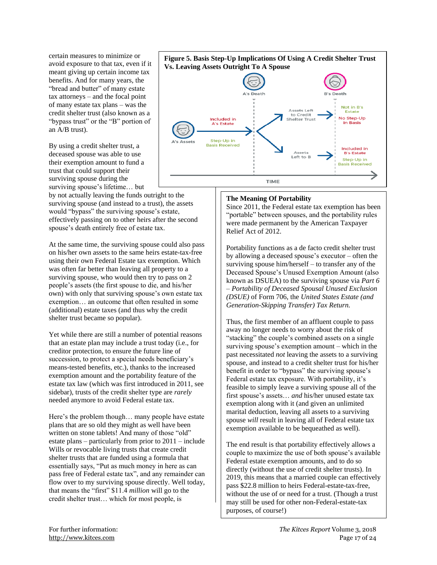certain measures to minimize or avoid exposure to that tax, even if it meant giving up certain income tax benefits. And for many years, the "bread and butter" of many estate tax attorneys – and the focal point of many estate tax plans – was the credit shelter trust (also known as a "bypass trust" or the "B" portion of an A/B trust).

By using a credit shelter trust, a deceased spouse was able to use their exemption amount to fund a trust that could support their surviving spouse during the surviving spouse's lifetime… but

by not actually leaving the funds outright to the surviving spouse (and instead to a trust), the assets would "bypass" the surviving spouse's estate, effectively passing on to other heirs after the second spouse's death entirely free of estate tax.

At the same time, the surviving spouse could also pass on his/her own assets to the same heirs estate-tax-free using their own Federal Estate tax exemption. Which was often far better than leaving all property to a surviving spouse, who would then try to pass on 2 people's assets (the first spouse to die, and his/her own) with only that surviving spouse's own estate tax exemption… an outcome that often resulted in some (additional) estate taxes (and thus why the credit shelter trust became so popular).

Yet while there are still a number of potential reasons that an estate plan may include a trust today (i.e., for creditor protection, to ensure the future line of succession, to protect a special needs beneficiary's means-tested benefits, etc.), thanks to the increased exemption amount and the portability feature of the estate tax law (which was first introduced in 2011, see sidebar), trusts of the credit shelter type are *rarely* needed anymore to avoid Federal estate tax.

Here's the problem though… many people have estate plans that are so old they might as well have been written on stone tablets! And many of those "old" estate plans – particularly from prior to 2011 – include Wills or revocable living trusts that create credit shelter trusts that are funded using a formula that essentially says, "Put as much money in here as can pass free of Federal estate tax", and any remainder can flow over to my surviving spouse directly. Well today, that means the "first" \$11.4 *million* will go to the credit shelter trust… which for most people, is



#### **The Meaning Of Portability**

Since 2011, the Federal estate tax exemption has been "portable" between spouses, and the portability rules were made permanent by the American Taxpayer Relief Act of 2012.

Portability functions as a de facto credit shelter trust by allowing a deceased spouse's executor – often the surviving spouse him/herself – to transfer any of the Deceased Spouse's Unused Exemption Amount (also known as DSUEA) to the surviving spouse via *Part 6 – Portability of Deceased Spousal Unused Exclusion (DSUE)* of Form 706, the *United States Estate (and Generation-Skipping Transfer) Tax Return.*

Thus, the first member of an affluent couple to pass away no longer needs to worry about the risk of "stacking" the couple's combined assets on a single surviving spouse's exemption amount – which in the past necessitated *not* leaving the assets to a surviving spouse, and instead to a credit shelter trust for his/her benefit in order to "bypass" the surviving spouse's Federal estate tax exposure. With portability, it's feasible to simply leave a surviving spouse all of the first spouse's assets… *and* his/her unused estate tax exemption along with it (and given an unlimited marital deduction, leaving all assets to a surviving spouse *will* result in leaving all of Federal estate tax exemption available to be bequeathed as well).

The end result is that portability effectively allows a couple to maximize the use of both spouse's available Federal estate exemption amounts, and to do so directly (without the use of credit shelter trusts). In 2019, this means that a married couple can effectively pass \$22.8 million to heirs Federal-estate-tax-free, without the use of or need for a trust. (Though a trust may still be used for other non-Federal-estate-tax purposes, of course!)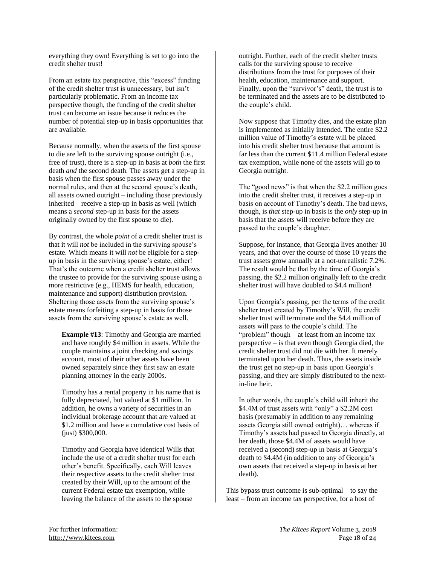everything they own! Everything is set to go into the credit shelter trust!

From an estate tax perspective, this "excess" funding of the credit shelter trust is unnecessary, but isn't particularly problematic. From an income tax perspective though, the funding of the credit shelter trust can become an issue because it reduces the number of potential step-up in basis opportunities that are available.

Because normally, when the assets of the first spouse to die are left to the surviving spouse outright (i.e., free of trust), there is a step-up in basis at *both* the first death *and* the second death. The assets get a step-up in basis when the first spouse passes away under the normal rules, and then at the second spouse's death, all assets owned outright – including those previously inherited – receive a step-up in basis as well (which means a *second* step-up in basis for the assets originally owned by the first spouse to die).

By contrast, the whole *point* of a credit shelter trust is that it will *not* be included in the surviving spouse's estate. Which means it will *not* be eligible for a stepup in basis in the surviving spouse's estate, either! That's the outcome when a credit shelter trust allows the trustee to provide for the surviving spouse using a more restrictive (e.g., HEMS for health, education, maintenance and support) distribution provision. Sheltering those assets from the surviving spouse's estate means forfeiting a step-up in basis for those assets from the surviving spouse's estate as well.

**Example #13**: Timothy and Georgia are married and have roughly \$4 million in assets. While the couple maintains a joint checking and savings account, most of their other assets have been owned separately since they first saw an estate planning attorney in the early 2000s.

Timothy has a rental property in his name that is fully depreciated, but valued at \$1 million. In addition, he owns a variety of securities in an individual brokerage account that are valued at \$1.2 million and have a cumulative cost basis of (just) \$300,000.

Timothy and Georgia have identical Wills that include the use of a credit shelter trust for each other's benefit. Specifically, each Will leaves their respective assets to the credit shelter trust created by their Will, up to the amount of the current Federal estate tax exemption, while leaving the balance of the assets to the spouse

outright. Further, each of the credit shelter trusts calls for the surviving spouse to receive distributions from the trust for purposes of their health, education, maintenance and support. Finally, upon the "survivor's" death, the trust is to be terminated and the assets are to be distributed to the couple's child.

Now suppose that Timothy dies, and the estate plan is implemented as initially intended. The entire \$2.2 million value of Timothy's estate will be placed into his credit shelter trust because that amount is far less than the current \$11.4 million Federal estate tax exemption, while none of the assets will go to Georgia outright.

The "good news" is that when the \$2.2 million goes into the credit shelter trust, it receives a step-up in basis on account of Timothy's death. The bad news, though, is *that* step-up in basis is the *only* step-up in basis that the assets will receive before they are passed to the couple's daughter.

Suppose, for instance, that Georgia lives another 10 years, and that over the course of those 10 years the trust assets grow annually at a not-unrealistic 7.2%. The result would be that by the time of Georgia's passing, the \$2.2 million originally left to the credit shelter trust will have doubled to \$4.4 million!

Upon Georgia's passing, per the terms of the credit shelter trust created by Timothy's Will, the credit shelter trust will terminate and the \$4.4 million of assets will pass to the couple's child. The "problem" though – at least from an income tax perspective – is that even though Georgia died, the credit shelter trust did not die with her. It merely terminated upon her death. Thus, the assets inside the trust get no step-up in basis upon Georgia's passing, and they are simply distributed to the nextin-line heir.

In other words, the couple's child will inherit the \$4.4M of trust assets with "only" a \$2.2M cost basis (presumably in addition to any remaining assets Georgia still owned outright)… whereas if Timothy's assets had passed to Georgia directly, at her death, those \$4.4M of assets would have received a (second) step-up in basis at Georgia's death to \$4.4M (in addition to any of Georgia's own assets that received a step-up in basis at her death).

This bypass trust outcome is sub-optimal – to say the least – from an income tax perspective, for a host of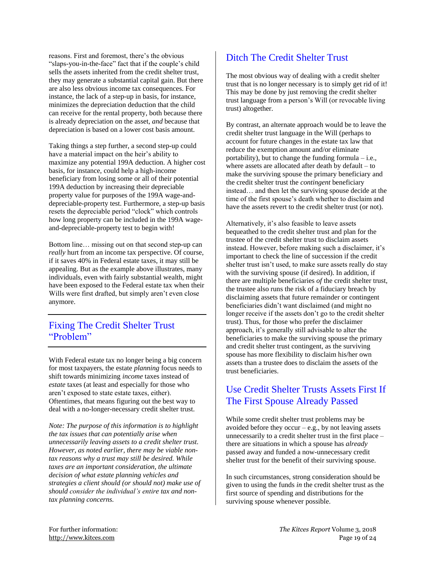reasons. First and foremost, there's the obvious "slaps-you-in-the-face" fact that if the couple's child sells the assets inherited from the credit shelter trust, they may generate a substantial capital gain. But there are also less obvious income tax consequences. For instance, the lack of a step-up in basis, for instance, minimizes the depreciation deduction that the child can receive for the rental property, both because there is already depreciation on the asset, *and* because that depreciation is based on a lower cost basis amount.

Taking things a step further, a second step-up could have a material impact on the heir's ability to maximize any potential 199A deduction. A higher cost basis, for instance, could help a high-income beneficiary from losing some or all of their potential 199A deduction by increasing their depreciable property value for purposes of the 199A wage-anddepreciable-property test. Furthermore, a step-up basis resets the depreciable period "clock" which controls how long property can be included in the 199A wageand-depreciable-property test to begin with!

Bottom line… missing out on that second step-up can *really* hurt from an income tax perspective. Of course, if it saves 40% in Federal estate taxes, it may still be appealing. But as the example above illustrates, many individuals, even with fairly substantial wealth, might have been exposed to the Federal estate tax when their Wills were first drafted, but simply aren't even close anymore.

### Fixing The Credit Shelter Trust "Problem"

With Federal estate tax no longer being a big concern for most taxpayers, the estate *planning* focus needs to shift towards minimizing *income* taxes instead of *estate* taxes (at least and especially for those who aren't exposed to state estate taxes, either). Oftentimes, that means figuring out the best way to deal with a no-longer-necessary credit shelter trust.

*Note: The purpose of this information is to highlight the tax issues that can potentially arise when unnecessarily leaving assets to a credit shelter trust. However, as noted earlier, there may be viable nontax reasons why a trust may still be desired. While taxes are an important consideration, the ultimate decision of what estate planning vehicles and strategies a client should (or should not) make use of should consider the individual's entire tax and nontax planning concerns.* 

# Ditch The Credit Shelter Trust

The most obvious way of dealing with a credit shelter trust that is no longer necessary is to simply get rid of it! This may be done by just removing the credit shelter trust language from a person's Will (or revocable living trust) altogether.

By contrast, an alternate approach would be to leave the credit shelter trust language in the Will (perhaps to account for future changes in the estate tax law that reduce the exemption amount and/or eliminate portability), but to change the funding formula  $-$  i.e., where assets are allocated after death by default – to make the surviving spouse the primary beneficiary and the credit shelter trust the *contingent* beneficiary instead… and then let the surviving spouse decide at the time of the first spouse's death whether to disclaim and have the assets revert to the credit shelter trust (or not).

Alternatively, it's also feasible to leave assets bequeathed to the credit shelter trust and plan for the trustee of the credit shelter trust to disclaim assets instead. However, before making such a disclaimer, it's important to check the line of succession if the credit shelter trust isn't used, to make sure assets really do stay with the surviving spouse (if desired). In addition, if there are multiple beneficiaries *of* the credit shelter trust, the trustee also runs the risk of a fiduciary breach by disclaiming assets that future remainder or contingent beneficiaries didn't want disclaimed (and might no longer receive if the assets don't go to the credit shelter trust). Thus, for those who prefer the disclaimer approach, it's generally still advisable to alter the beneficiaries to make the surviving spouse the primary and credit shelter trust contingent, as the surviving spouse has more flexibility to disclaim his/her own assets than a trustee does to disclaim the assets of the trust beneficiaries.

### Use Credit Shelter Trusts Assets First If The First Spouse Already Passed

While some credit shelter trust problems may be avoided before they occur – e.g., by not leaving assets unnecessarily to a credit shelter trust in the first place – there are situations in which a spouse has *already* passed away and funded a now-unnecessary credit shelter trust for the benefit of their surviving spouse.

In such circumstances, strong consideration should be given to using the funds *in* the credit shelter trust as the first source of spending and distributions for the surviving spouse whenever possible.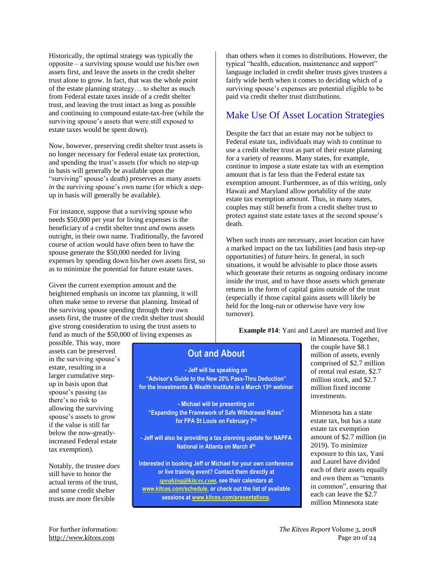Historically, the optimal strategy was typically the opposite – a surviving spouse would use his/her *own*  assets first, and leave the assets in the credit shelter trust alone to grow. In fact, that was the whole *point*  of the estate planning strategy… to shelter as much from Federal estate taxes inside of a credit shelter trust, and leaving the trust intact as long as possible and continuing to compound estate-tax-free (while the surviving spouse's assets that were still exposed to estate taxes would be spent down).

Now, however, preserving credit shelter trust assets is no longer necessary for Federal estate tax protection, and spending the trust's assets (for which no step-up in basis will generally be available upon the "surviving" spouse's death) preserves as many assets *in* the surviving spouse's own name (for which a stepup in basis will generally be available).

For instance, suppose that a surviving spouse who needs \$50,000 per year for living expenses is the beneficiary of a credit shelter trust *and* owns assets outright, in their own name. Traditionally, the favored course of action would have often been to have the spouse generate the \$50,000 needed for living expenses by spending down his/her *own* assets first, so as to minimize the potential for future estate taxes.

Given the current exemption amount and the heightened emphasis on income tax planning, it will often make sense to reverse that planning. Instead of the surviving spouse spending through their own assets first, the trustee of the credit shelter trust should give strong consideration to using the trust assets to fund as much of the \$50,000 of living expenses as

than others when it comes to distributions. However, the typical "health, education, maintenance and support" language included in credit shelter trusts gives trustees a fairly wide berth when it comes to deciding which of a surviving spouse's expenses are potential eligible to be paid via credit shelter trust distributions.

### Make Use Of Asset Location Strategies

Despite the fact that an estate may not be subject to Federal estate tax, individuals may wish to continue to use a credit shelter trust as part of their estate planning for a variety of reasons. Many states, for example, continue to impose a state estate tax with an exemption amount that is far less than the Federal estate tax exemption amount. Furthermore, as of this writing, only Hawaii and Maryland allow portability of the *state* estate tax exemption amount. Thus, in many states, couples may still benefit from a credit shelter trust to protect against state estate taxes at the second spouse's death.

When such trusts are necessary, asset location can have a marked impact on the tax liabilities (and basis step-up opportunities) of future heirs. In general, in such situations, it would be advisable to place those assets which generate their returns as ongoing ordinary income inside the trust, and to have those assets which generate returns in the form of capital gains outside of the trust (especially if those capital gains assets will likely be held for the long-run or otherwise have very low turnover).

**Example #14**: Yani and Laurel are married and live

possible. This way, more assets can be preserved in the surviving spouse's estate, resulting in a larger cumulative stepup in basis upon that spouse's passing (as there's no risk to allowing the surviving spouse's assets to grow if the value is still far below the now-greatlyincreased Federal estate tax exemption).

Notably, the trustee *does*  still have to honor the actual terms of the trust, and some credit shelter trusts are more flexible

#### **Out and About**

**- Jeff will be speaking on "Advisor's Guide to the New 20% Pass-Thru Deduction" for the Investments & Wealth Institute in a March 13th webinar**

**- Michael will be presenting on "Expanding the Framework of Safe Withdrawal Rates" for FPA St Louis on February 7th**

**- Jeff will also be providing a tax planning update for NAPFA National in Atlanta on March 4th**

**Interested in booking Jeff or Michael for your own conference or live training event? Contact them directly at** *[speaking@kitces.com](mailto:speaking@kitces.com)***, see their calendars at [www.kitces.com/schedule,](http://www.kitces.com/schedule) or check out the list of available sessions a[t www.kitces.com/presentations.](http://www.kitces.com/presentations)**

in Minnesota. Together, the couple have \$8.1 million of assets, evenly comprised of \$2.7 million of rental real estate, \$2.7 million stock, and \$2.7 million fixed income investments.

Minnesota has a state estate tax, but has a state estate tax exemption amount of \$2.7 million (in 2019). To minimize exposure to this tax, Yani and Laurel have divided each of their assets equally and own them as "tenants in common", ensuring that each can leave the \$2.7 million Minnesota state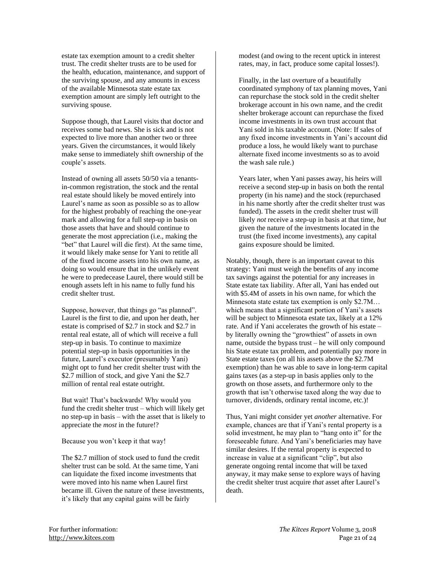estate tax exemption amount to a credit shelter trust. The credit shelter trusts are to be used for the health, education, maintenance, and support of the surviving spouse, and any amounts in excess of the available Minnesota state estate tax exemption amount are simply left outright to the surviving spouse.

Suppose though, that Laurel visits that doctor and receives some bad news. She is sick and is not expected to live more than another two or three years. Given the circumstances, it would likely make sense to immediately shift ownership of the couple's assets.

Instead of owning all assets 50/50 via a tenantsin-common registration, the stock and the rental real estate should likely be moved entirely into Laurel's name as soon as possible so as to allow for the highest probably of reaching the one-year mark and allowing for a full step-up in basis on those assets that have and should continue to generate the most appreciation (i.e., making the "bet" that Laurel will die first). At the same time, it would likely make sense for Yani to retitle all of the fixed income assets into his own name, as doing so would ensure that in the unlikely event he were to predecease Laurel, there would still be enough assets left in his name to fully fund his credit shelter trust.

Suppose, however, that things go "as planned". Laurel is the first to die, and upon her death, her estate is comprised of \$2.7 in stock and \$2.7 in rental real estate, all of which will receive a full step-up in basis. To continue to maximize potential step-up in basis opportunities in the future, Laurel's executor (presumably Yani) might opt to fund her credit shelter trust with the \$2.7 million of stock, and give Yani the \$2.7 million of rental real estate outright.

But wait! That's backwards! Why would you fund the credit shelter trust – which will likely get no step-up in basis – with the asset that is likely to appreciate the *most* in the future!?

Because you won't keep it that way!

The \$2.7 million of stock used to fund the credit shelter trust can be sold. At the same time, Yani can liquidate the fixed income investments that were moved into his name when Laurel first became ill. Given the nature of these investments, it's likely that any capital gains will be fairly

modest (and owing to the recent uptick in interest rates, may, in fact, produce some capital losses!).

Finally, in the last overture of a beautifully coordinated symphony of tax planning moves, Yani can repurchase the stock sold in the credit shelter brokerage account in his own name, and the credit shelter brokerage account can repurchase the fixed income investments in its own trust account that Yani sold in his taxable account. (Note: If sales of any fixed income investments in Yani's account did produce a loss, he would likely want to purchase alternate fixed income investments so as to avoid the wash sale rule.)

Years later, when Yani passes away, his heirs will receive a second step-up in basis on both the rental property (in his name) and the stock (repurchased in his name shortly after the credit shelter trust was funded). The assets in the credit shelter trust will likely *not* receive a step-up in basis at that time, *but* given the nature of the investments located in the trust (the fixed income investments), any capital gains exposure should be limited.

Notably, though, there is an important caveat to this strategy: Yani must weigh the benefits of any income tax savings against the potential for any increases in State estate tax liability. After all, Yani has ended out with \$5.4M of assets in his own name, for which the Minnesota state estate tax exemption is only \$2.7M… which means that a significant portion of Yani's assets will be subject to Minnesota estate tax, likely at a 12% rate. And if Yani accelerates the growth of his estate – by literally owning the "growthiest" of assets in own name, outside the bypass trust – he will only compound his State estate tax problem, and potentially pay more in State estate taxes (on all his assets above the \$2.7M exemption) than he was able to save in long-term capital gains taxes (as a step-up in basis applies only to the growth on those assets, and furthermore only to the growth that isn't otherwise taxed along the way due to turnover, dividends, ordinary rental income, etc.)!

Thus, Yani might consider yet *another* alternative. For example, chances are that if Yani's rental property is a solid investment, he may plan to "hang onto it" for the foreseeable future. And Yani's beneficiaries may have similar desires. If the rental property is expected to increase in value at a significant "clip", but also generate ongoing rental income that will be taxed anyway, it may make sense to explore ways of having the credit shelter trust acquire *that* asset after Laurel's death.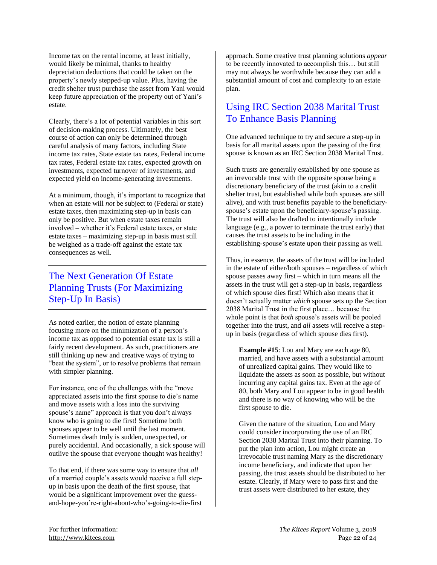Income tax on the rental income, at least initially, would likely be minimal, thanks to healthy depreciation deductions that could be taken on the property's newly stepped-up value. Plus, having the credit shelter trust purchase the asset from Yani would keep future appreciation of the property out of Yani's estate.

Clearly, there's a lot of potential variables in this sort of decision-making process. Ultimately, the best course of action can only be determined through careful analysis of many factors, including State income tax rates, State estate tax rates, Federal income tax rates, Federal estate tax rates, expected growth on investments, expected turnover of investments, and expected yield on income-generating investments.

At a minimum, though, it's important to recognize that when an estate will *not* be subject to (Federal or state) estate taxes, then maximizing step-up in basis can only be positive. But when estate taxes remain involved – whether it's Federal estate taxes, or state estate taxes – maximizing step-up in basis must still be weighed as a trade-off against the estate tax consequences as well.

# The Next Generation Of Estate Planning Trusts (For Maximizing Step-Up In Basis)

As noted earlier, the notion of estate planning focusing more on the minimization of a person's income tax as opposed to potential estate tax is still a fairly recent development. As such, practitioners are still thinking up new and creative ways of trying to "beat the system", or to resolve problems that remain with simpler planning.

For instance, one of the challenges with the "move appreciated assets into the first spouse to die's name and move assets with a loss into the surviving spouse's name" approach is that you don't always know who is going to die first! Sometime both spouses appear to be well until the last moment. Sometimes death truly is sudden, unexpected, or purely accidental. And occasionally, a sick spouse will outlive the spouse that everyone thought was healthy!

To that end, if there was some way to ensure that *all* of a married couple's assets would receive a full stepup in basis upon the death of the first spouse, that would be a significant improvement over the guessand-hope-you're-right-about-who's-going-to-die-first

approach. Some creative trust planning solutions *appear* to be recently innovated to accomplish this… but still may not always be worthwhile because they can add a substantial amount of cost and complexity to an estate plan.

### Using IRC Section 2038 Marital Trust To Enhance Basis Planning

One advanced technique to try and secure a step-up in basis for all marital assets upon the passing of the first spouse is known as an IRC Section 2038 Marital Trust.

Such trusts are generally established by one spouse as an irrevocable trust with the opposite spouse being a discretionary beneficiary of the trust (akin to a credit shelter trust, but established while both spouses are still alive), and with trust benefits payable to the beneficiaryspouse's estate upon the beneficiary-spouse's passing. The trust will also be drafted to intentionally include language (e.g., a power to terminate the trust early) that causes the trust assets to be including in the establishing-spouse's estate upon their passing as well.

Thus, in essence, the assets of the trust will be included in the estate of either/both spouses – regardless of which spouse passes away first – which in turn means all the assets in the trust will get a step-up in basis, regardless of which spouse dies first! Which also means that it doesn't actually matter *which* spouse sets up the Section 2038 Marital Trust in the first place… because the whole point is that *both* spouse's assets will be pooled together into the trust, and *all* assets will receive a stepup in basis (regardless of which spouse dies first).

**Example #15**: Lou and Mary are each age 80, married, and have assets with a substantial amount of unrealized capital gains. They would like to liquidate the assets as soon as possible, but without incurring any capital gains tax. Even at the age of 80, both Mary and Lou appear to be in good health and there is no way of knowing who will be the first spouse to die.

Given the nature of the situation, Lou and Mary could consider incorporating the use of an IRC Section 2038 Marital Trust into their planning. To put the plan into action, Lou might create an irrevocable trust naming Mary as the discretionary income beneficiary, and indicate that upon her passing, the trust assets should be distributed to her estate. Clearly, if Mary were to pass first and the trust assets were distributed to her estate, they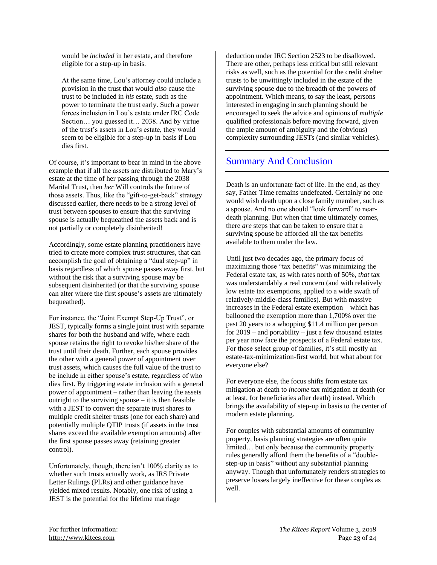would be *included* in her estate, and therefore eligible for a step-up in basis.

At the same time, Lou's attorney could include a provision in the trust that would *also* cause the trust to be included in *his* estate, such as the power to terminate the trust early. Such a power forces inclusion in Lou's estate under IRC Code Section… you guessed it… 2038. And by virtue of the trust's assets in Lou's estate, they would seem to be eligible for a step-up in basis if Lou dies first.

Of course, it's important to bear in mind in the above example that if all the assets are distributed to Mary's estate at the time of her passing through the 2038 Marital Trust, then *her* Will controls the future of those assets. Thus, like the "gift-to-get-back" strategy discussed earlier, there needs to be a strong level of trust between spouses to ensure that the surviving spouse is actually bequeathed the assets back and is not partially or completely disinherited!

Accordingly, some estate planning practitioners have tried to create more complex trust structures, that can accomplish the goal of obtaining a "dual step-up" in basis regardless of which spouse passes away first, but without the risk that a surviving spouse may be subsequent disinherited (or that the surviving spouse can alter where the first spouse's assets are ultimately bequeathed).

For instance, the "Joint Exempt Step-Up Trust", or JEST, typically forms a single joint trust with separate shares for both the husband and wife, where each spouse retains the right to revoke his/her share of the trust until their death. Further, each spouse provides the other with a general power of appointment over trust assets, which causes the full value of the trust to be include in either spouse's estate, regardless of who dies first. By triggering estate inclusion with a general power of appointment – rather than leaving the assets outright to the surviving spouse  $-$  it is then feasible with a JEST to convert the separate trust shares to multiple credit shelter trusts (one for each share) and potentially multiple QTIP trusts (if assets in the trust shares exceed the available exemption amounts) after the first spouse passes away (retaining greater control).

Unfortunately, though, there isn't 100% clarity as to whether such trusts actually work, as IRS Private Letter Rulings (PLRs) and other guidance have yielded mixed results. Notably, one risk of using a JEST is the potential for the lifetime marriage

deduction under IRC Section 2523 to be disallowed. There are other, perhaps less critical but still relevant risks as well, such as the potential for the credit shelter trusts to be unwittingly included in the estate of the surviving spouse due to the breadth of the powers of appointment. Which means, to say the least, persons interested in engaging in such planning should be encouraged to seek the advice and opinions of *multiple* qualified professionals before moving forward, given the ample amount of ambiguity and the (obvious) complexity surrounding JESTs (and similar vehicles).

#### Summary And Conclusion

Death is an unfortunate fact of life. In the end, as they say, Father Time remains undefeated. Certainly no one would wish death upon a close family member, such as a spouse. And no one should "look forward" to neardeath planning. But when that time ultimately comes, there *are* steps that can be taken to ensure that a surviving spouse be afforded all the tax benefits available to them under the law.

Until just two decades ago, the primary focus of maximizing those "tax benefits" was minimizing the Federal estate tax, as with rates north of 50%, *that* tax was understandably a real concern (and with relatively low estate tax exemptions, applied to a wide swath of relatively-middle-class families). But with massive increases in the Federal estate exemption – which has ballooned the exemption more than 1,700% over the past 20 years to a whopping \$11.4 million per person for  $2019$  – and portability – just a few thousand estates per year now face the prospects of a Federal estate tax. For those select group of families, it's still mostly an estate-tax-minimization-first world, but what about for everyone else?

For everyone else, the focus shifts from estate tax mitigation at death to *income* tax mitigation at death (or at least, for beneficiaries after death) instead. Which brings the availability of step-up in basis to the center of modern estate planning.

For couples with substantial amounts of community property, basis planning strategies are often quite limited… but only because the community property rules generally afford them the benefits of a "doublestep-up in basis" without any substantial planning anyway. Though that unfortunately renders strategies to preserve losses largely ineffective for these couples as well.